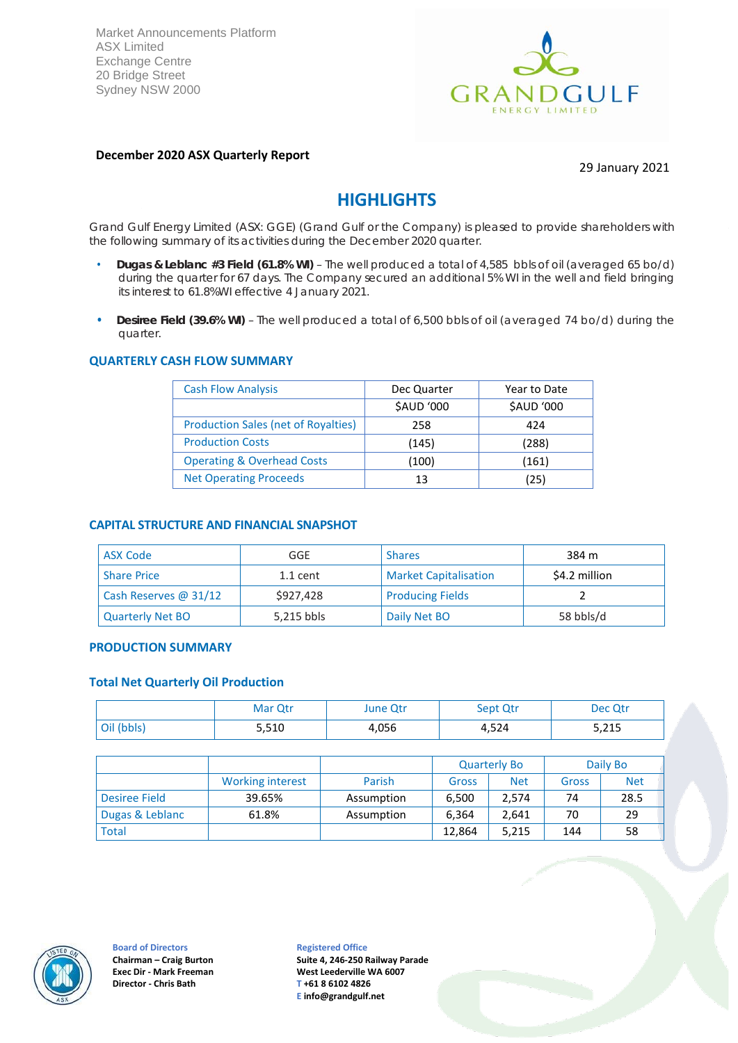Market Announcements Platform ASX Limited Exchange Centre 20 Bridge Street Sydney NSW 2000



# **December 2020 ASX Quarterly Report**

#### 29 January 2021

# **HIGHLIGHTS**

Grand Gulf Energy Limited (ASX: GGE) (Grand Gulf or the Company) is pleased to provide shareholders with the following summary of its activities during the December 2020 quarter.

- **Dugas & Leblanc #3 Field (61.8% WI)** The well produced a total of 4,585 bbls of oil (averaged 65 bo/d) during the quarter for 67 days. The Company secured an additional 5% WI in the well and field bringing its interest to 61.8%WI effective 4 January 2021.
- **Desiree Field (39.6% WI)** The well produced a total of 6,500 bbls of oil (averaged 74 bo/d) during the quarter.

#### **QUARTERLY CASH FLOW SUMMARY**

| <b>Cash Flow Analysis</b>                  | Dec Quarter | Year to Date |
|--------------------------------------------|-------------|--------------|
|                                            | \$AUD '000  | \$AUD '000   |
| <b>Production Sales (net of Royalties)</b> | 258         | 424          |
| <b>Production Costs</b>                    | (145)       | (288)        |
| <b>Operating &amp; Overhead Costs</b>      | (100)       | (161)        |
| <b>Net Operating Proceeds</b>              | 13          | (25)         |

#### **CAPITAL STRUCTURE AND FINANCIAL SNAPSHOT**

| ASX Code                | GGE        | <b>Shares</b>                | 384 m         |
|-------------------------|------------|------------------------------|---------------|
| <b>Share Price</b>      | $1.1$ cent | <b>Market Capitalisation</b> | \$4.2 million |
| Cash Reserves @ $31/12$ | \$927.428  | <b>Producing Fields</b>      |               |
| <b>Quarterly Net BO</b> | 5,215 bbls | Daily Net BO                 | 58 bbls/d     |

#### **PRODUCTION SUMMARY**

#### **Total Net Quarterly Oil Production**

|            | Mar Qtr | June Qtr | Sept Qtr | Dec Qtr |
|------------|---------|----------|----------|---------|
| Oil (bbls) | 5,510   | 4,056    | 4,524    | 5,215   |

|                 |                         |            |        | <b>Quarterly Bo</b> |       | Daily Bo   |
|-----------------|-------------------------|------------|--------|---------------------|-------|------------|
|                 | <b>Working interest</b> | Parish     | Gross  | <b>Net</b>          | Gross | <b>Net</b> |
| Desiree Field   | 39.65%                  | Assumption | 6,500  | 2,574               | 74    | 28.5       |
| Dugas & Leblanc | 61.8%                   | Assumption | 6,364  | 2,641               | 70    | 29         |
| <b>Total</b>    |                         |            | 12,864 | 5,215               | 144   | 58         |



**Board of Directors Chairman – Craig Burton Exec Dir - Mark Freeman Director - Chris Bath**

**Registered Office**

**Suite 4, 246-250 Railway Parade West Leederville WA 6007 T +61 8 6102 4826 E [info@grandgulf.net](mailto:info@grandgulf.net)**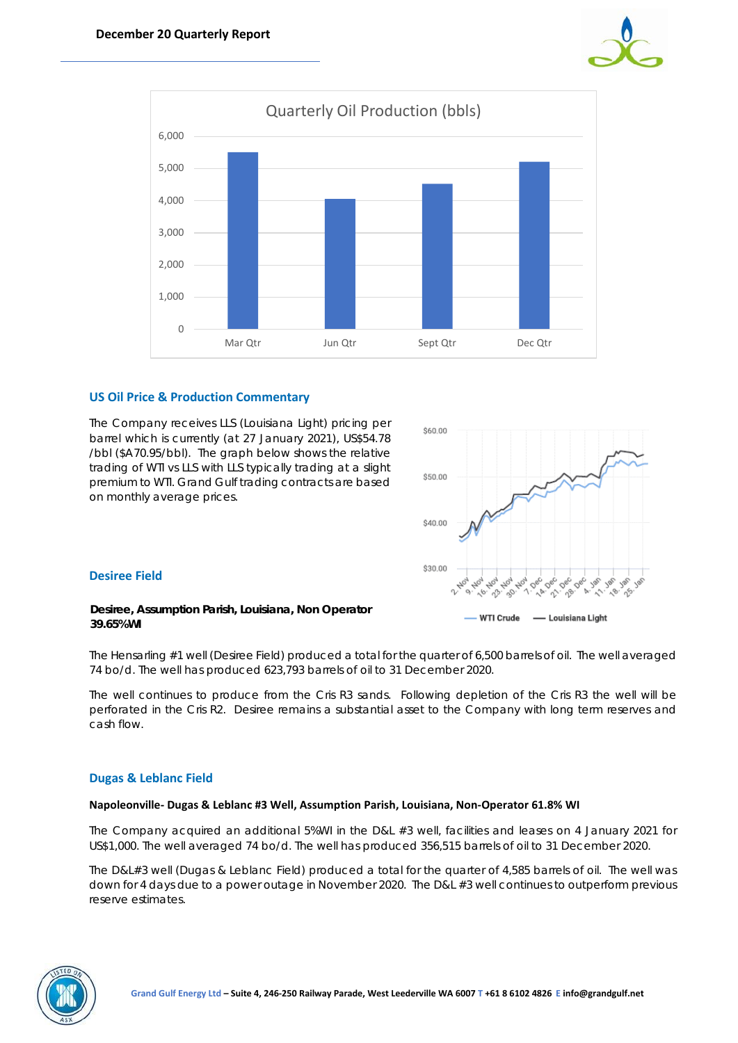



# **US Oil Price & Production Commentary**

The Company receives LLS (Louisiana Light) pricing per barrel which is currently (at 27 January 2021), US\$54.78 /bbl (\$A70.95/bbl). The graph below shows the relative trading of WTI vs LLS with LLS typically trading at a slight premium to WTI. Grand Gulf trading contracts are based on monthly average prices.



# **Desiree Field**

#### **Desiree, Assumption Parish, Louisiana, Non Operator 39.65%WI**

The Hensarling #1 well (Desiree Field) produced a total for the quarter of 6,500 barrels of oil. The well averaged 74 bo/d. The well has produced 623,793 barrels of oil to 31 December 2020.

The well continues to produce from the Cris R3 sands. Following depletion of the Cris R3 the well will be perforated in the Cris R2. Desiree remains a substantial asset to the Company with long term reserves and cash flow.

# **Dugas & Leblanc Field**

#### **Napoleonville- Dugas & Leblanc #3 Well, Assumption Parish, Louisiana, Non-Operator 61.8% WI**

The Company acquired an additional 5%WI in the D&L #3 well, facilities and leases on 4 January 2021 for US\$1,000. The well averaged 74 bo/d. The well has produced 356,515 barrels of oil to 31 December 2020.

The D&L#3 well (Dugas & Leblanc Field) produced a total for the quarter of 4,585 barrels of oil. The well was down for 4 days due to a power outage in November 2020. The D&L #3 well continues to outperform previous reserve estimates.

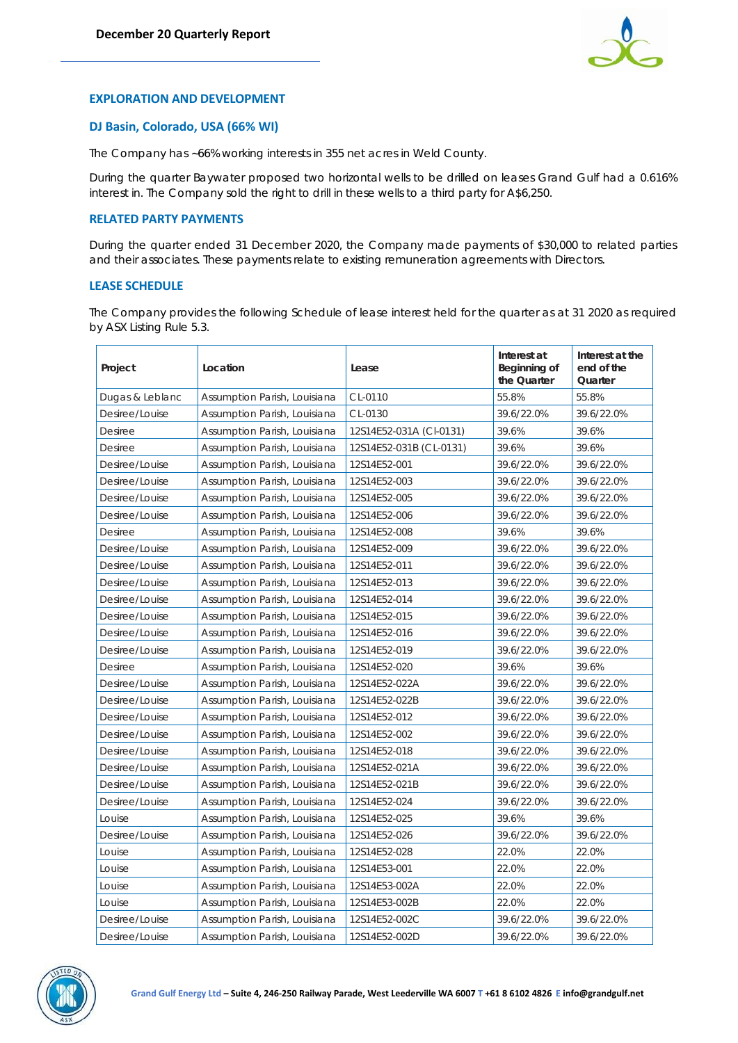

# **EXPLORATION AND DEVELOPMENT**

### **DJ Basin, Colorado, USA (66% WI)**

The Company has ~66% working interests in 355 net acres in Weld County.

During the quarter Baywater proposed two horizontal wells to be drilled on leases Grand Gulf had a 0.616% interest in. The Company sold the right to drill in these wells to a third party for A\$6,250.

#### **RELATED PARTY PAYMENTS**

During the quarter ended 31 December 2020, the Company made payments of \$30,000 to related parties and their associates. These payments relate to existing remuneration agreements with Directors.

### **LEASE SCHEDULE**

The Company provides the following Schedule of lease interest held for the quarter as at 31 2020 as required by ASX Listing Rule 5.3.

| Project         | Location                     | Lease                   | Interest at<br>Beginning of<br>the Quarter | Interest at the<br>end of the<br>Quarter |
|-----------------|------------------------------|-------------------------|--------------------------------------------|------------------------------------------|
| Dugas & Leblanc | Assumption Parish, Louisiana | CL-0110                 | 55.8%                                      | 55.8%                                    |
| Desiree/Louise  | Assumption Parish, Louisiana | CL-0130                 | 39.6/22.0%                                 | 39.6/22.0%                               |
| Desiree         | Assumption Parish, Louisiana | 12S14E52-031A (CI-0131) | 39.6%                                      | 39.6%                                    |
| Desiree         | Assumption Parish, Louisiana | 12S14E52-031B (CL-0131) | 39.6%                                      | 39.6%                                    |
| Desiree/Louise  | Assumption Parish, Louisiana | 12S14E52-001            | 39.6/22.0%                                 | 39.6/22.0%                               |
| Desiree/Louise  | Assumption Parish, Louisiana | 12S14E52-003            | 39.6/22.0%                                 | 39.6/22.0%                               |
| Desiree/Louise  | Assumption Parish, Louisiana | 12S14E52-005            | 39.6/22.0%                                 | 39.6/22.0%                               |
| Desiree/Louise  | Assumption Parish, Louisiana | 12S14E52-006            | 39.6/22.0%                                 | 39.6/22.0%                               |
| Desiree         | Assumption Parish, Louisiana | 12S14E52-008            | 39.6%                                      | 39.6%                                    |
| Desiree/Louise  | Assumption Parish, Louisiana | 12S14E52-009            | 39.6/22.0%                                 | 39.6/22.0%                               |
| Desiree/Louise  | Assumption Parish, Louisiana | 12S14E52-011            | 39.6/22.0%                                 | 39.6/22.0%                               |
| Desiree/Louise  | Assumption Parish, Louisiana | 12S14E52-013            | 39.6/22.0%                                 | 39.6/22.0%                               |
| Desiree/Louise  | Assumption Parish, Louisiana | 12S14E52-014            | 39.6/22.0%                                 | 39.6/22.0%                               |
| Desiree/Louise  | Assumption Parish, Louisiana | 12S14E52-015            | 39.6/22.0%                                 | 39.6/22.0%                               |
| Desiree/Louise  | Assumption Parish, Louisiana | 12S14E52-016            | 39.6/22.0%                                 | 39.6/22.0%                               |
| Desiree/Louise  | Assumption Parish, Louisiana | 12S14E52-019            | 39.6/22.0%                                 | 39.6/22.0%                               |
| Desiree         | Assumption Parish, Louisiana | 12S14E52-020            | 39.6%                                      | 39.6%                                    |
| Desiree/Louise  | Assumption Parish, Louisiana | 12S14E52-022A           | 39.6/22.0%                                 | 39.6/22.0%                               |
| Desiree/Louise  | Assumption Parish, Louisiana | 12S14E52-022B           | 39.6/22.0%                                 | 39.6/22.0%                               |
| Desiree/Louise  | Assumption Parish, Louisiana | 12S14E52-012            | 39.6/22.0%                                 | 39.6/22.0%                               |
| Desiree/Louise  | Assumption Parish, Louisiana | 12S14E52-002            | 39.6/22.0%                                 | 39.6/22.0%                               |
| Desiree/Louise  | Assumption Parish, Louisiana | 12S14E52-018            | 39.6/22.0%                                 | 39.6/22.0%                               |
| Desiree/Louise  | Assumption Parish, Louisiana | 12S14E52-021A           | 39.6/22.0%                                 | 39.6/22.0%                               |
| Desiree/Louise  | Assumption Parish, Louisiana | 12S14E52-021B           | 39.6/22.0%                                 | 39.6/22.0%                               |
| Desiree/Louise  | Assumption Parish, Louisiana | 12S14E52-024            | 39.6/22.0%                                 | 39.6/22.0%                               |
| Louise          | Assumption Parish, Louisiana | 12S14E52-025            | 39.6%                                      | 39.6%                                    |
| Desiree/Louise  | Assumption Parish, Louisiana | 12S14E52-026            | 39.6/22.0%                                 | 39.6/22.0%                               |
| Louise          | Assumption Parish, Louisiana | 12S14E52-028            | 22.0%                                      | 22.0%                                    |
| Louise          | Assumption Parish, Louisiana | 12S14E53-001            | 22.0%                                      | 22.0%                                    |
| Louise          | Assumption Parish, Louisiana | 12S14E53-002A           | 22.0%                                      | 22.0%                                    |
| Louise          | Assumption Parish, Louisiana | 12S14E53-002B           | 22.0%                                      | 22.0%                                    |
| Desiree/Louise  | Assumption Parish, Louisiana | 12S14E52-002C           | 39.6/22.0%                                 | 39.6/22.0%                               |
| Desiree/Louise  | Assumption Parish, Louisiana | 12S14E52-002D           | 39.6/22.0%                                 | 39.6/22.0%                               |

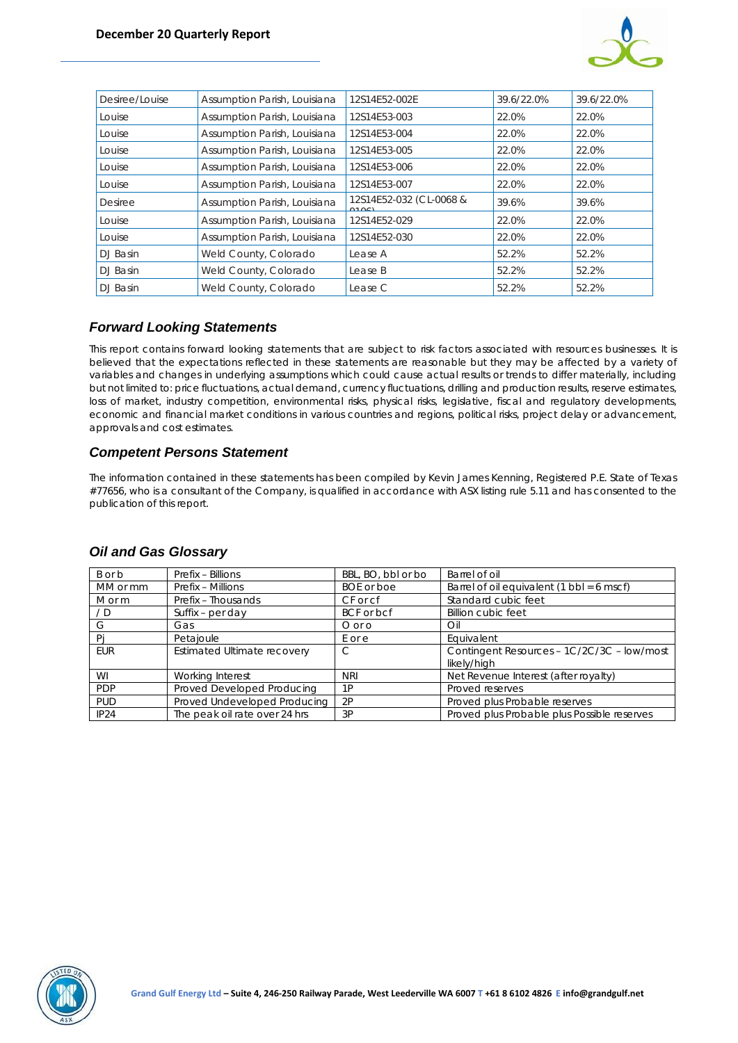

| Desiree/Louise | Assumption Parish, Louisiana | 12S14E52-002E                    | 39.6/22.0% | 39.6/22.0% |
|----------------|------------------------------|----------------------------------|------------|------------|
| Louise         | Assumption Parish, Louisiana | 12S14E53-003                     | 22.0%      | 22.0%      |
| Louise         | Assumption Parish, Louisiana | 12S14E53-004                     | 22.0%      | 22.0%      |
| Louise         | Assumption Parish, Louisiana | 12S14E53-005                     | 22.0%      | 22.0%      |
| Louise         | Assumption Parish, Louisiana | 12S14E53-006                     | 22.0%      | 22.0%      |
| Louise         | Assumption Parish, Louisiana | 12S14E53-007                     | 22.0%      | 22.0%      |
| <b>Desiree</b> | Assumption Parish, Louisiana | 12S14E52-032 (CL-0068 &<br>0.101 | 39.6%      | 39.6%      |
| Louise         | Assumption Parish, Louisiana | 12S14E52-029                     | 22.0%      | 22.0%      |
| Louise         | Assumption Parish, Louisiana | 12S14E52-030                     | 22.0%      | 22.0%      |
| DJ Basin       | Weld County, Colorado        | Lease A                          | 52.2%      | 52.2%      |
| DJ Basin       | Weld County, Colorado        | Lease B                          | 52.2%      | 52.2%      |
| DJ Basin       | Weld County, Colorado        | Lease C                          | 52.2%      | 52.2%      |

# *Forward Looking Statements*

This report contains forward looking statements that are subject to risk factors associated with resources businesses. It is believed that the expectations reflected in these statements are reasonable but they may be affected by a variety of variables and changes in underlying assumptions which could cause actual results or trends to differ materially, including but not limited to: price fluctuations, actual demand, currency fluctuations, drilling and production results, reserve estimates, loss of market, industry competition, environmental risks, physical risks, legislative, fiscal and regulatory developments, economic and financial market conditions in various countries and regions, political risks, project delay or advancement, approvals and cost estimates.

# *Competent Persons Statement*

The information contained in these statements has been compiled by Kevin James Kenning, Registered P.E. State of Texas #77656, who is a consultant of the Company, is qualified in accordance with ASX listing rule 5.11 and has consented to the publication of this report.

|  |  |  | <b>Oil and Gas Glossary</b> |
|--|--|--|-----------------------------|
|--|--|--|-----------------------------|

| B or b     | Prefix - Billions                  | BBL, BO, bbl or bo | Barrel of oil                                               |
|------------|------------------------------------|--------------------|-------------------------------------------------------------|
| MM or mm   | Prefix - Millions                  | <b>BOE</b> or boe  | Barrel of oil equivalent $(1 \text{ bbl} = 6 \text{ mscf})$ |
| M or m     | Prefix - Thousands                 | CF or cf           | Standard cubic feet                                         |
| / D        | Suffix – per day                   | BCF or bcf         | <b>Billion cubic feet</b>                                   |
| G          | Gas                                | $O$ or $O$         | Oil                                                         |
| Pi         | Petajoule                          | E or e             | Equivalent                                                  |
| EUR        | <b>Estimated Ultimate recovery</b> | C                  | Contingent Resources - 1C/2C/3C - low/most<br>likely/high   |
| WI         | Working Interest                   | <b>NRI</b>         | Net Revenue Interest (after royalty)                        |
| <b>PDP</b> | Proved Developed Producing         | 1P                 | Proved reserves                                             |
| <b>PUD</b> | Proved Undeveloped Producing       | 2P                 | Proved plus Probable reserves                               |
| IP24       | The peak oil rate over 24 hrs      | 3P                 | Proved plus Probable plus Possible reserves                 |

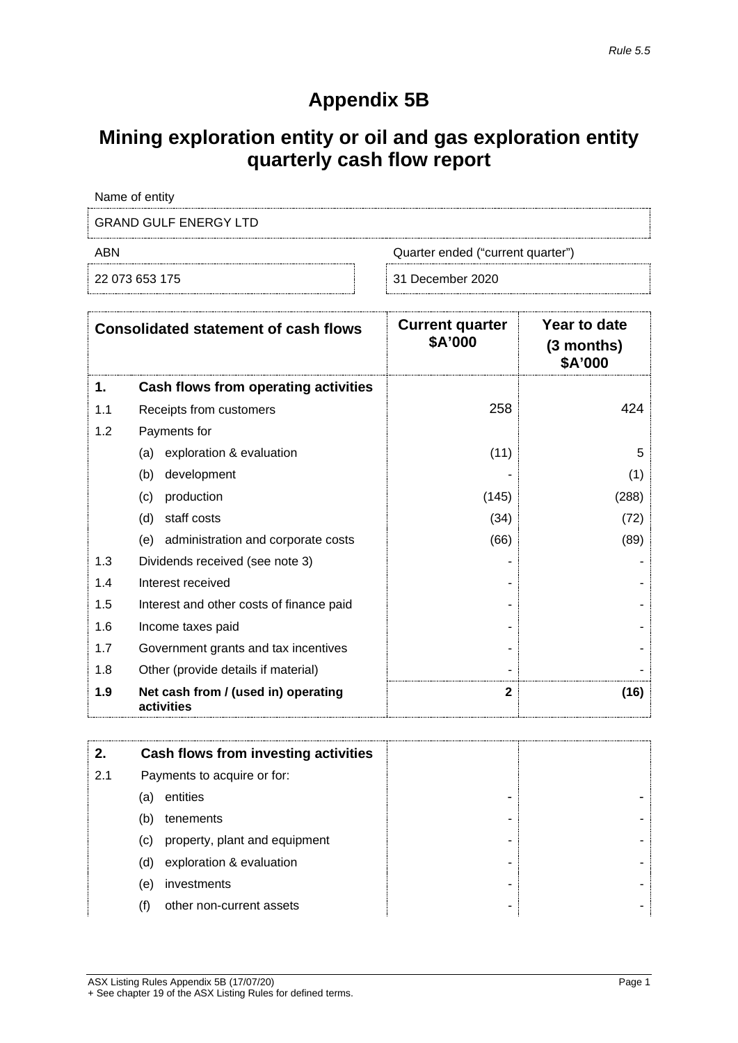# **Appendix 5B**

# **Mining exploration entity or oil and gas exploration entity quarterly cash flow report**

Name of entity

GRAND GULF ENERGY LTD

ABN Quarter ended ("current quarter")

22 073 653 175 31 December 2020

|     | <b>Consolidated statement of cash flows</b>       | <b>Current quarter</b><br>\$A'000 | Year to date<br>$(3$ months)<br>\$A'000 |
|-----|---------------------------------------------------|-----------------------------------|-----------------------------------------|
| 1.  | Cash flows from operating activities              |                                   |                                         |
| 1.1 | Receipts from customers                           | 258                               | 424                                     |
| 1.2 | Payments for                                      |                                   |                                         |
|     | exploration & evaluation<br>(a)                   | (11)                              | 5                                       |
|     | development<br>(b)                                |                                   | (1)                                     |
|     | (c)<br>production                                 | (145)                             | (288)                                   |
|     | staff costs<br>(d)                                | (34)                              | (72)                                    |
|     | administration and corporate costs<br>(e)         | (66)                              | (89)                                    |
| 1.3 | Dividends received (see note 3)                   |                                   |                                         |
| 1.4 | Interest received                                 |                                   |                                         |
| 1.5 | Interest and other costs of finance paid          |                                   |                                         |
| 1.6 | Income taxes paid                                 |                                   |                                         |
| 1.7 | Government grants and tax incentives              |                                   |                                         |
| 1.8 | Other (provide details if material)               |                                   |                                         |
| 1.9 | Net cash from / (used in) operating<br>activities | $\mathbf{2}$                      | (16)                                    |

|     |     | Cash flows from investing activities |   |
|-----|-----|--------------------------------------|---|
| 2.1 |     | Payments to acquire or for:          |   |
|     | (a) | entities                             |   |
|     | (b) | tenements                            | - |
|     | (c) | property, plant and equipment        | - |
|     | (d) | exploration & evaluation             | - |
|     | (e) | investments                          | - |
|     |     | other non-current assets             | - |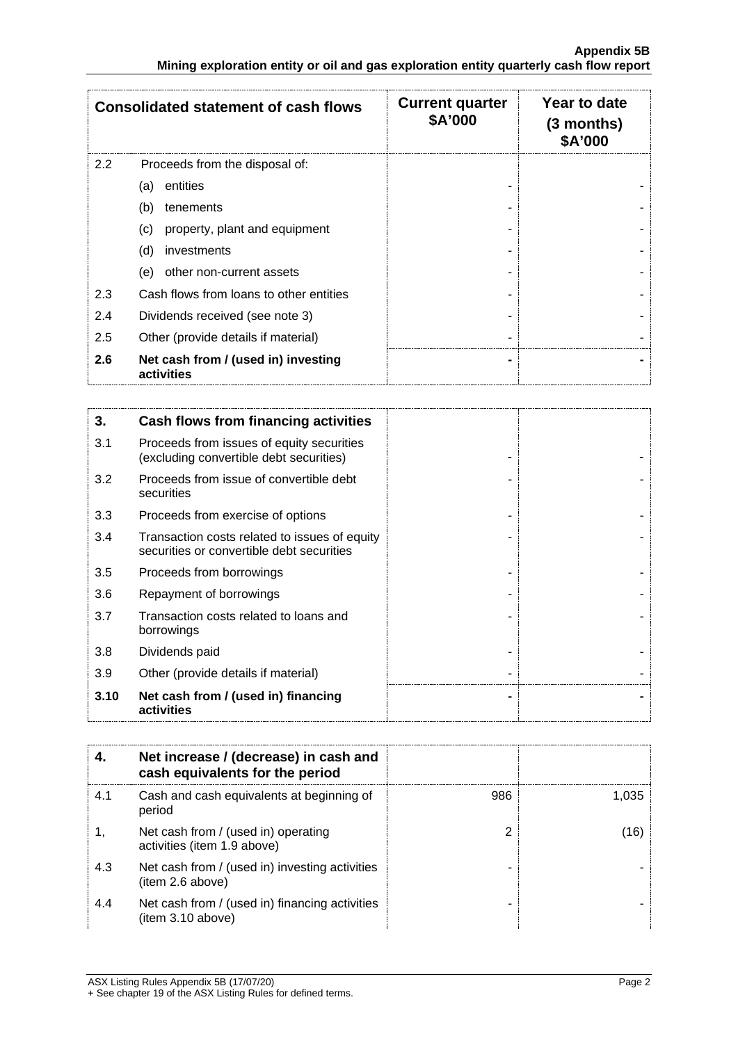|     | <b>Consolidated statement of cash flows</b>       | <b>Current quarter</b><br>\$A'000 | Year to date<br>$(3$ months)<br><b>\$A'000</b> |
|-----|---------------------------------------------------|-----------------------------------|------------------------------------------------|
| 2.2 | Proceeds from the disposal of:                    |                                   |                                                |
|     | entities<br>(a)                                   |                                   |                                                |
|     | (b)<br>tenements                                  |                                   |                                                |
|     | property, plant and equipment<br>(c)              |                                   |                                                |
|     | (d)<br>investments                                |                                   |                                                |
|     | other non-current assets<br>(e)                   |                                   |                                                |
| 2.3 | Cash flows from loans to other entities           |                                   |                                                |
| 2.4 | Dividends received (see note 3)                   |                                   |                                                |
| 2.5 | Other (provide details if material)               |                                   |                                                |
| 2.6 | Net cash from / (used in) investing<br>activities |                                   |                                                |

| 3.   | Cash flows from financing activities                                                       |  |
|------|--------------------------------------------------------------------------------------------|--|
| 3.1  | Proceeds from issues of equity securities<br>(excluding convertible debt securities)       |  |
| 3.2  | Proceeds from issue of convertible debt<br>securities                                      |  |
| 3.3  | Proceeds from exercise of options                                                          |  |
| 3.4  | Transaction costs related to issues of equity<br>securities or convertible debt securities |  |
| 3.5  | Proceeds from borrowings                                                                   |  |
| 3.6  | Repayment of borrowings                                                                    |  |
| 3.7  | Transaction costs related to loans and<br>borrowings                                       |  |
| 3.8  | Dividends paid                                                                             |  |
| 3.9  | Other (provide details if material)                                                        |  |
| 3.10 | Net cash from / (used in) financing<br>activities                                          |  |

|     | Net increase / (decrease) in cash and<br>cash equivalents for the period |     |       |
|-----|--------------------------------------------------------------------------|-----|-------|
| 4.1 | Cash and cash equivalents at beginning of<br>period                      | 986 | 1 035 |
|     | Net cash from / (used in) operating<br>activities (item 1.9 above)       |     | 16    |
| 4.3 | Net cash from / (used in) investing activities<br>(item 2.6 above)       |     |       |
| 4.4 | Net cash from / (used in) financing activities<br>(item 3.10 above)      |     |       |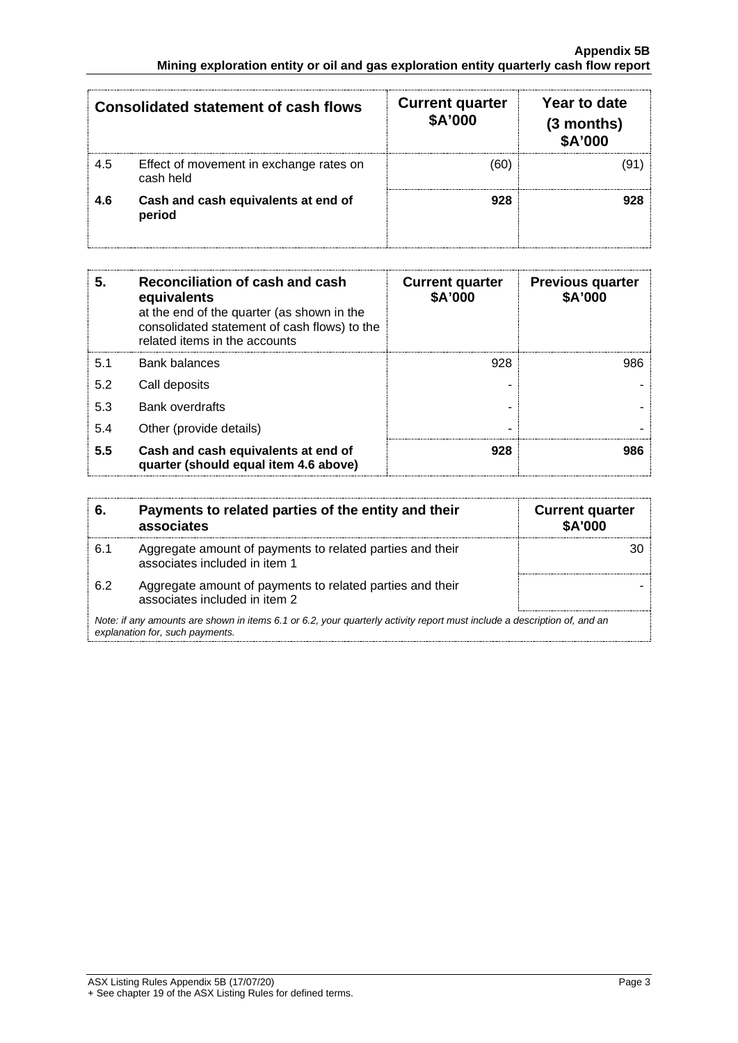|     | <b>Consolidated statement of cash flows</b>          | <b>Current quarter</b><br>\$A'000 | Year to date<br>$(3$ months)<br><b>\$A'000</b> |
|-----|------------------------------------------------------|-----------------------------------|------------------------------------------------|
| 4.5 | Effect of movement in exchange rates on<br>cash held |                                   |                                                |
| 4.6 | Cash and cash equivalents at end of<br>period        | 928                               |                                                |

| 5.  | Reconciliation of cash and cash<br>equivalents<br>at the end of the quarter (as shown in the<br>consolidated statement of cash flows) to the<br>related items in the accounts | <b>Current quarter</b><br>\$A'000 | <b>Previous quarter</b><br>\$A'000 |
|-----|-------------------------------------------------------------------------------------------------------------------------------------------------------------------------------|-----------------------------------|------------------------------------|
| 5.1 | Bank balances                                                                                                                                                                 | 928                               | 986                                |
| 5.2 | Call deposits                                                                                                                                                                 |                                   |                                    |
| 5.3 | <b>Bank overdrafts</b>                                                                                                                                                        |                                   |                                    |
| 5.4 | Other (provide details)                                                                                                                                                       |                                   |                                    |
| 5.5 | Cash and cash equivalents at end of<br>quarter (should equal item 4.6 above)                                                                                                  | 928                               | 986                                |

|                                                                                                                                                             | Payments to related parties of the entity and their<br>associates                          | <b>Current quarter</b><br><b>\$A'000</b> |
|-------------------------------------------------------------------------------------------------------------------------------------------------------------|--------------------------------------------------------------------------------------------|------------------------------------------|
| 6.1                                                                                                                                                         | Aggregate amount of payments to related parties and their<br>associates included in item 1 |                                          |
| 62                                                                                                                                                          | Aggregate amount of payments to related parties and their<br>associates included in item 2 |                                          |
| Note: if any amounts are shown in items 6.1 or 6.2, your quarterly activity report must include a description of, and an<br>explanation for, such payments. |                                                                                            |                                          |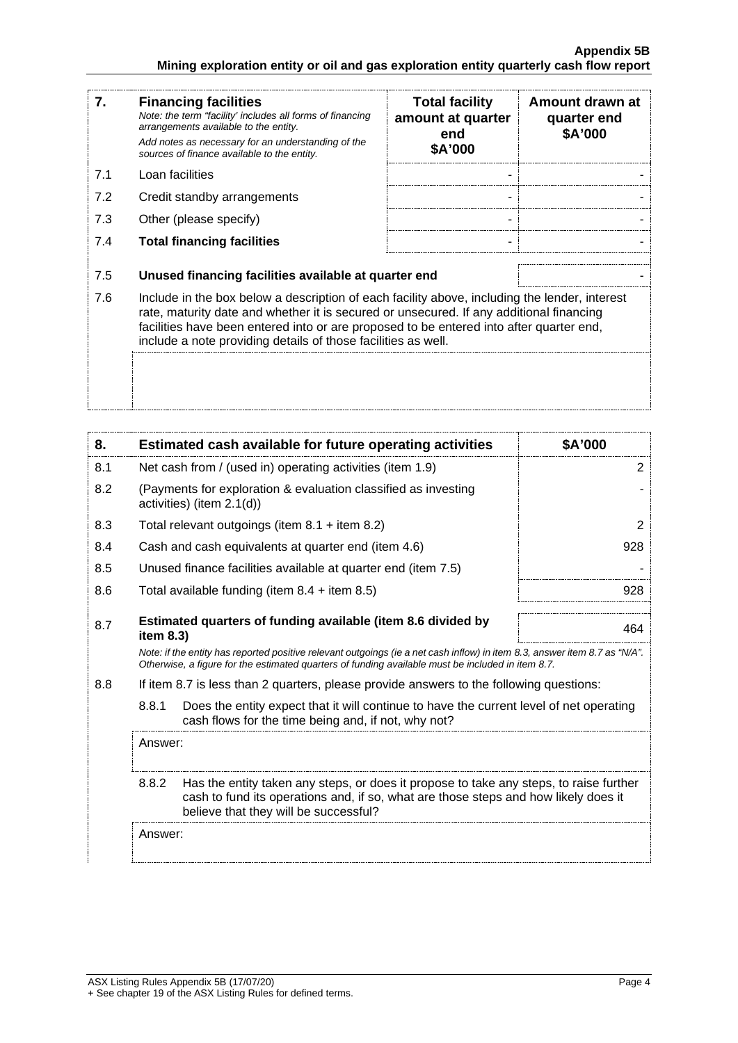#### **Appendix 5B Mining exploration entity or oil and gas exploration entity quarterly cash flow report**

| 7.                                                                                                                                                                                                                                                                                                                                                          | <b>Financing facilities</b><br>Note: the term "facility' includes all forms of financing<br>arrangements available to the entity.<br>Add notes as necessary for an understanding of the<br>sources of finance available to the entity. | <b>Total facility</b><br>amount at quarter<br>end<br>\$A'000 | Amount drawn at<br>quarter end<br>\$A'000 |
|-------------------------------------------------------------------------------------------------------------------------------------------------------------------------------------------------------------------------------------------------------------------------------------------------------------------------------------------------------------|----------------------------------------------------------------------------------------------------------------------------------------------------------------------------------------------------------------------------------------|--------------------------------------------------------------|-------------------------------------------|
| 7.1                                                                                                                                                                                                                                                                                                                                                         | Loan facilities                                                                                                                                                                                                                        |                                                              |                                           |
| 7.2                                                                                                                                                                                                                                                                                                                                                         | Credit standby arrangements                                                                                                                                                                                                            |                                                              |                                           |
| 7.3                                                                                                                                                                                                                                                                                                                                                         | Other (please specify)                                                                                                                                                                                                                 |                                                              |                                           |
| 7.4                                                                                                                                                                                                                                                                                                                                                         | <b>Total financing facilities</b>                                                                                                                                                                                                      |                                                              |                                           |
| 7.5                                                                                                                                                                                                                                                                                                                                                         | Unused financing facilities available at quarter end                                                                                                                                                                                   |                                                              |                                           |
| 7.6<br>Include in the box below a description of each facility above, including the lender, interest<br>rate, maturity date and whether it is secured or unsecured. If any additional financing<br>facilities have been entered into or are proposed to be entered into after quarter end,<br>include a note providing details of those facilities as well. |                                                                                                                                                                                                                                        |                                                              |                                           |
|                                                                                                                                                                                                                                                                                                                                                             |                                                                                                                                                                                                                                        |                                                              |                                           |

| 8.                                                                                                                                                                                                                              | Estimated cash available for future operating activities                                                                                                                                                                        | \$A'000 |  |
|---------------------------------------------------------------------------------------------------------------------------------------------------------------------------------------------------------------------------------|---------------------------------------------------------------------------------------------------------------------------------------------------------------------------------------------------------------------------------|---------|--|
| 8.1                                                                                                                                                                                                                             | Net cash from / (used in) operating activities (item 1.9)                                                                                                                                                                       | 2       |  |
| 8.2                                                                                                                                                                                                                             | (Payments for exploration & evaluation classified as investing<br>activities) (item $2.1(d)$ )                                                                                                                                  |         |  |
| 8.3                                                                                                                                                                                                                             | Total relevant outgoings (item $8.1 +$ item $8.2$ )                                                                                                                                                                             | 2       |  |
| 8.4                                                                                                                                                                                                                             | Cash and cash equivalents at quarter end (item 4.6)                                                                                                                                                                             | 928     |  |
| 8.5                                                                                                                                                                                                                             | Unused finance facilities available at quarter end (item 7.5)                                                                                                                                                                   |         |  |
| 8.6                                                                                                                                                                                                                             | Total available funding (item $8.4 +$ item $8.5$ )                                                                                                                                                                              | 928     |  |
| Estimated quarters of funding available (item 8.6 divided by<br>8.7<br>item $8.3$ )                                                                                                                                             |                                                                                                                                                                                                                                 | 464     |  |
|                                                                                                                                                                                                                                 | Note: if the entity has reported positive relevant outgoings (ie a net cash inflow) in item 8.3, answer item 8.7 as "N/A".<br>Otherwise, a figure for the estimated guarters of funding available must be included in item 8.7. |         |  |
| 8.8<br>If item 8.7 is less than 2 quarters, please provide answers to the following questions:                                                                                                                                  |                                                                                                                                                                                                                                 |         |  |
|                                                                                                                                                                                                                                 | 8.8.1<br>Does the entity expect that it will continue to have the current level of net operating<br>cash flows for the time being and, if not, why not?                                                                         |         |  |
|                                                                                                                                                                                                                                 | Answer:                                                                                                                                                                                                                         |         |  |
| 8.8.2<br>Has the entity taken any steps, or does it propose to take any steps, to raise further<br>cash to fund its operations and, if so, what are those steps and how likely does it<br>believe that they will be successful? |                                                                                                                                                                                                                                 |         |  |
|                                                                                                                                                                                                                                 |                                                                                                                                                                                                                                 |         |  |

Answer: